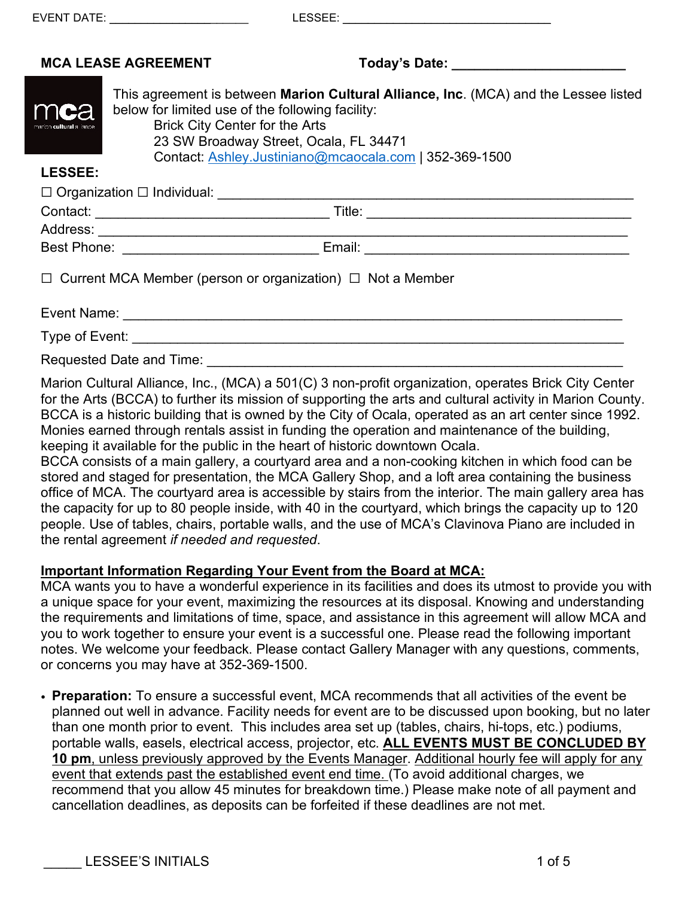**MCA LEASE AGREEMENT Today's Date: \_\_\_\_\_\_\_\_\_\_\_\_\_\_\_\_\_\_\_\_\_\_\_**

|                                                   | IVICA LLASL AGNLLIVILIVI<br>Touay 5 Date. <u>________________________</u>                                                                                                                                                                                                                                                     |
|---------------------------------------------------|-------------------------------------------------------------------------------------------------------------------------------------------------------------------------------------------------------------------------------------------------------------------------------------------------------------------------------|
| m <b>c</b> a<br>narion <b>cultural</b> alliance i | This agreement is between Marion Cultural Alliance, Inc. (MCA) and the Lessee listed<br>below for limited use of the following facility:<br><b>Brick City Center for the Arts</b><br>23 SW Broadway Street, Ocala, FL 34471<br>Contact: Ashley.Justiniano@mcaocala.com   352-369-1500                                         |
| LESSEE:                                           |                                                                                                                                                                                                                                                                                                                               |
|                                                   |                                                                                                                                                                                                                                                                                                                               |
|                                                   |                                                                                                                                                                                                                                                                                                                               |
|                                                   |                                                                                                                                                                                                                                                                                                                               |
|                                                   | Best Phone: ________________________________Email: _____________________________                                                                                                                                                                                                                                              |
|                                                   | $\Box$ Current MCA Member (person or organization) $\Box$ Not a Member                                                                                                                                                                                                                                                        |
|                                                   |                                                                                                                                                                                                                                                                                                                               |
|                                                   |                                                                                                                                                                                                                                                                                                                               |
|                                                   |                                                                                                                                                                                                                                                                                                                               |
|                                                   | Marion Cultural Alliance, Inc., (MCA) a 501(C) 3 non-profit organization, operates Brick City Center<br>for the Arts (BCCA) to further its mission of supporting the arts and cultural activity in Marion County.<br>$DCA$ is a biotoric building that is quined by the City of Osela, eperated as an ert center since $1002$ |

BCCA is a historic building that is owned by the City of Ocala, operated as an art center since 1992. Monies earned through rentals assist in funding the operation and maintenance of the building, keeping it available for the public in the heart of historic downtown Ocala. BCCA consists of a main gallery, a courtyard area and a non-cooking kitchen in which food can be stored and staged for presentation, the MCA Gallery Shop, and a loft area containing the business office of MCA. The courtyard area is accessible by stairs from the interior. The main gallery area has the capacity for up to 80 people inside, with 40 in the courtyard, which brings the capacity up to 120 people. Use of tables, chairs, portable walls, and the use of MCA's Clavinova Piano are included in the rental agreement *if needed and requested*.

#### **Important Information Regarding Your Event from the Board at MCA:**

MCA wants you to have a wonderful experience in its facilities and does its utmost to provide you with a unique space for your event, maximizing the resources at its disposal. Knowing and understanding the requirements and limitations of time, space, and assistance in this agreement will allow MCA and you to work together to ensure your event is a successful one. Please read the following important notes. We welcome your feedback. Please contact Gallery Manager with any questions, comments, or concerns you may have at 352-369-1500.

• **Preparation:** To ensure a successful event, MCA recommends that all activities of the event be planned out well in advance. Facility needs for event are to be discussed upon booking, but no later than one month prior to event. This includes area set up (tables, chairs, hi-tops, etc.) podiums, portable walls, easels, electrical access, projector, etc. **ALL EVENTS MUST BE CONCLUDED BY 10 pm**, unless previously approved by the Events Manager. Additional hourly fee will apply for any event that extends past the established event end time. (To avoid additional charges, we recommend that you allow 45 minutes for breakdown time.) Please make note of all payment and cancellation deadlines, as deposits can be forfeited if these deadlines are not met.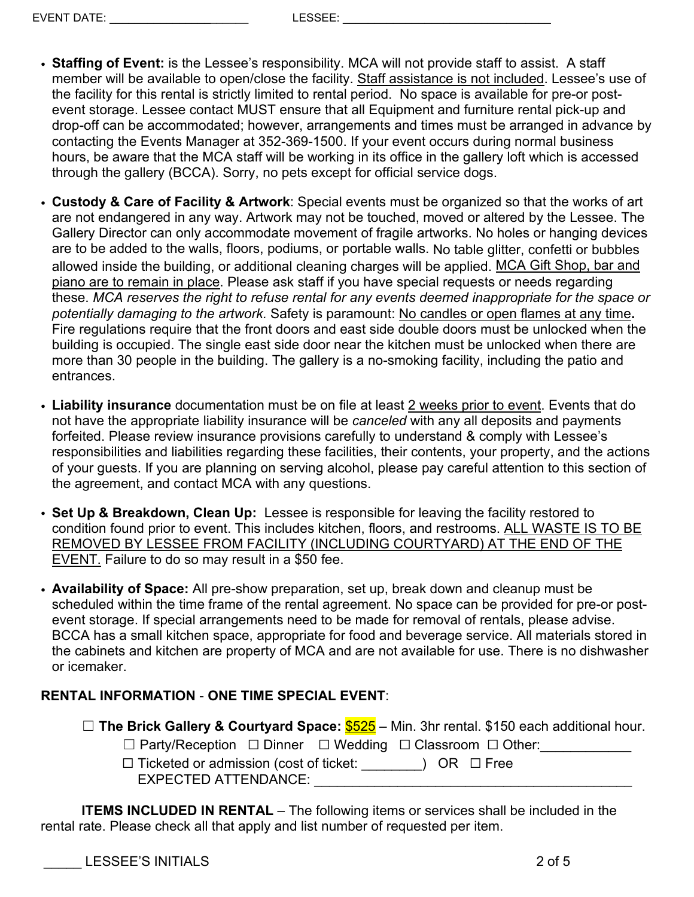- **Staffing of Event:** is the Lessee's responsibility. MCA will not provide staff to assist. A staff member will be available to open/close the facility. Staff assistance is not included. Lessee's use of the facility for this rental is strictly limited to rental period. No space is available for pre-or postevent storage. Lessee contact MUST ensure that all Equipment and furniture rental pick-up and drop-off can be accommodated; however, arrangements and times must be arranged in advance by contacting the Events Manager at 352-369-1500. If your event occurs during normal business hours, be aware that the MCA staff will be working in its office in the gallery loft which is accessed through the gallery (BCCA). Sorry, no pets except for official service dogs.
- **Custody & Care of Facility & Artwork**: Special events must be organized so that the works of art are not endangered in any way. Artwork may not be touched, moved or altered by the Lessee. The Gallery Director can only accommodate movement of fragile artworks. No holes or hanging devices are to be added to the walls, floors, podiums, or portable walls. No table glitter, confetti or bubbles allowed inside the building, or additional cleaning charges will be applied. MCA Gift Shop, bar and piano are to remain in place. Please ask staff if you have special requests or needs regarding these. *MCA reserves the right to refuse rental for any events deemed inappropriate for the space or potentially damaging to the artwork.* Safety is paramount: No candles or open flames at any time**.** Fire regulations require that the front doors and east side double doors must be unlocked when the building is occupied. The single east side door near the kitchen must be unlocked when there are more than 30 people in the building. The gallery is a no-smoking facility, including the patio and entrances.
- **Liability insurance** documentation must be on file at least 2 weeks prior to event. Events that do not have the appropriate liability insurance will be *canceled* with any all deposits and payments forfeited. Please review insurance provisions carefully to understand & comply with Lessee's responsibilities and liabilities regarding these facilities, their contents, your property, and the actions of your guests. If you are planning on serving alcohol, please pay careful attention to this section of the agreement, and contact MCA with any questions.
- **Set Up & Breakdown, Clean Up:** Lessee is responsible for leaving the facility restored to condition found prior to event. This includes kitchen, floors, and restrooms. ALL WASTE IS TO BE REMOVED BY LESSEE FROM FACILITY (INCLUDING COURTYARD) AT THE END OF THE EVENT. Failure to do so may result in a \$50 fee.
- **Availability of Space:** All pre-show preparation, set up, break down and cleanup must be scheduled within the time frame of the rental agreement. No space can be provided for pre-or postevent storage. If special arrangements need to be made for removal of rentals, please advise. BCCA has a small kitchen space, appropriate for food and beverage service. All materials stored in the cabinets and kitchen are property of MCA and are not available for use. There is no dishwasher or icemaker.

# **RENTAL INFORMATION** - **ONE TIME SPECIAL EVENT**:

☐ **The Brick Gallery & Courtyard Space:** \$525 – Min. 3hr rental. \$150 each additional hour.

☐ Party/Reception ☐ Dinner ☐ Wedding ☐ Classroom ☐ Other:\_\_\_\_\_\_\_\_\_\_\_\_

☐ Ticketed or admission (cost of ticket: \_\_\_\_\_\_\_\_) OR ☐ Free EXPECTED ATTENDANCE:

**ITEMS INCLUDED IN RENTAL** – The following items or services shall be included in the rental rate. Please check all that apply and list number of requested per item.

\_\_\_\_\_ LESSEE'S INITIALS 2 of 5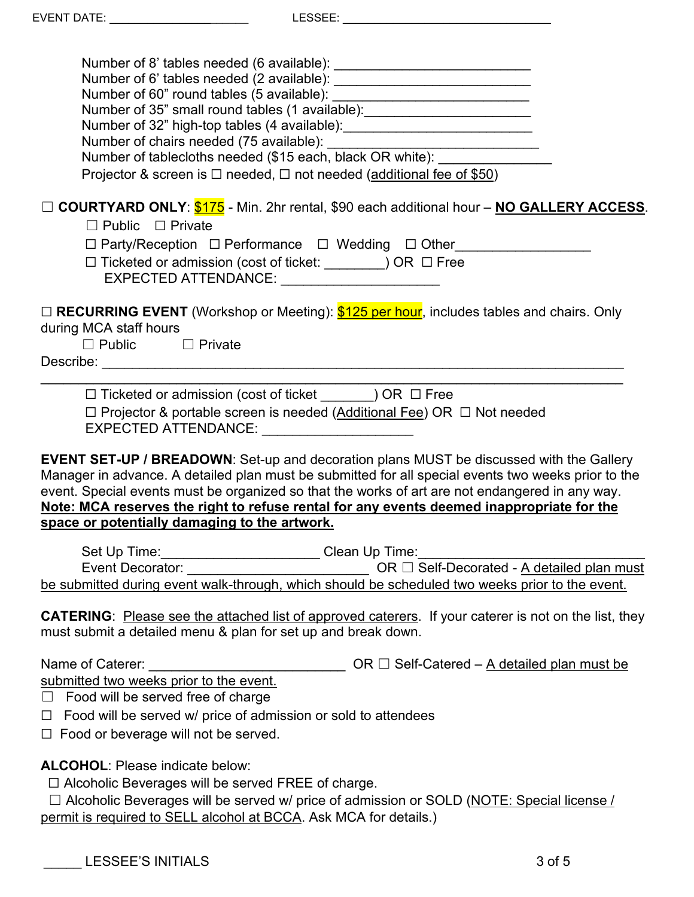| Number of 35" small round tables (1 available): ________________________________                                                                                                                                                                                                                                                                                                                                                                       |
|--------------------------------------------------------------------------------------------------------------------------------------------------------------------------------------------------------------------------------------------------------------------------------------------------------------------------------------------------------------------------------------------------------------------------------------------------------|
| Number of 32" high-top tables (4 available): ___________________________________                                                                                                                                                                                                                                                                                                                                                                       |
|                                                                                                                                                                                                                                                                                                                                                                                                                                                        |
| Projector & screen is $\Box$ needed, $\Box$ not needed (additional fee of \$50)                                                                                                                                                                                                                                                                                                                                                                        |
| □ COURTYARD ONLY: \$175 - Min. 2hr rental, \$90 each additional hour – NO GALLERY ACCESS.                                                                                                                                                                                                                                                                                                                                                              |
| $\Box$ Public $\Box$ Private                                                                                                                                                                                                                                                                                                                                                                                                                           |
| □ Party/Reception □ Performance □ Wedding □ Other___________________                                                                                                                                                                                                                                                                                                                                                                                   |
| $\Box$ Ticketed or admission (cost of ticket: ________) OR $\Box$ Free                                                                                                                                                                                                                                                                                                                                                                                 |
| EXPECTED ATTENDANCE: _______________________                                                                                                                                                                                                                                                                                                                                                                                                           |
| $\Box$ RECURRING EVENT (Workshop or Meeting): $$125$ per hour, includes tables and chairs. Only<br>during MCA staff hours<br>□ Public □ Private                                                                                                                                                                                                                                                                                                        |
|                                                                                                                                                                                                                                                                                                                                                                                                                                                        |
| □ Ticketed or admission (cost of ticket _______) OR □ Free<br>$\Box$ Projector & portable screen is needed (Additional Fee) OR $\Box$ Not needed<br>EXPECTED ATTENDANCE: _____________________                                                                                                                                                                                                                                                         |
| <b>EVENT SET-UP / BREADOWN:</b> Set-up and decoration plans MUST be discussed with the Gallery<br>Manager in advance. A detailed plan must be submitted for all special events two weeks prior to the<br>event. Special events must be organized so that the works of art are not endangered in any way.<br>Note: MCA reserves the right to refuse rental for any events deemed inappropriate for the<br>space or potentially damaging to the artwork. |
| Set Up Time: Clean Up Time:                                                                                                                                                                                                                                                                                                                                                                                                                            |
| OR $\Box$ Self-Decorated - A detailed plan must<br>Event Decorator:<br>be submitted during event walk-through, which should be scheduled two weeks prior to the event.                                                                                                                                                                                                                                                                                 |
| <b>CATERING:</b> Please see the attached list of approved caterers. If your caterer is not on the list, they<br>must submit a detailed menu & plan for set up and break down.                                                                                                                                                                                                                                                                          |
| Name of Caterer:<br>OR $\Box$ Self-Catered $-$ A detailed plan must be                                                                                                                                                                                                                                                                                                                                                                                 |
| submitted two weeks prior to the event.                                                                                                                                                                                                                                                                                                                                                                                                                |
| Food will be served free of charge                                                                                                                                                                                                                                                                                                                                                                                                                     |
| $\Box$ Food will be served w/ price of admission or sold to attendees                                                                                                                                                                                                                                                                                                                                                                                  |
|                                                                                                                                                                                                                                                                                                                                                                                                                                                        |
| $\Box$ Food or beverage will not be served.                                                                                                                                                                                                                                                                                                                                                                                                            |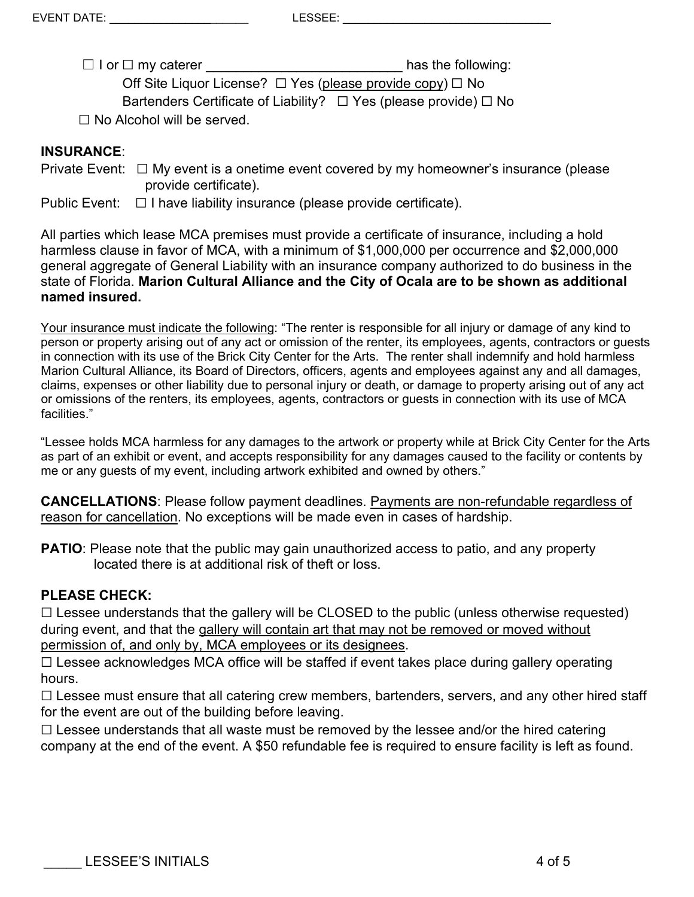☐ I or ☐ my caterer \_\_\_\_\_\_\_\_\_\_\_\_\_\_\_\_\_\_\_\_\_\_\_\_\_\_ has the following:

Off Site Liquor License?  $\Box$  Yes (please provide copy)  $\Box$  No

Bartenders Certificate of Liability?  $\Box$  Yes (please provide)  $\Box$  No

□ No Alcohol will be served.

## **INSURANCE**:

Private Event:  $\Box$  My event is a onetime event covered by my homeowner's insurance (please provide certificate).

Public Event:  $\Box$  I have liability insurance (please provide certificate).

All parties which lease MCA premises must provide a certificate of insurance, including a hold harmless clause in favor of MCA, with a minimum of \$1,000,000 per occurrence and \$2,000,000 general aggregate of General Liability with an insurance company authorized to do business in the state of Florida. **Marion Cultural Alliance and the City of Ocala are to be shown as additional named insured.**

Your insurance must indicate the following: "The renter is responsible for all injury or damage of any kind to person or property arising out of any act or omission of the renter, its employees, agents, contractors or guests in connection with its use of the Brick City Center for the Arts. The renter shall indemnify and hold harmless Marion Cultural Alliance, its Board of Directors, officers, agents and employees against any and all damages, claims, expenses or other liability due to personal injury or death, or damage to property arising out of any act or omissions of the renters, its employees, agents, contractors or guests in connection with its use of MCA facilities."

"Lessee holds MCA harmless for any damages to the artwork or property while at Brick City Center for the Arts as part of an exhibit or event, and accepts responsibility for any damages caused to the facility or contents by me or any guests of my event, including artwork exhibited and owned by others."

**CANCELLATIONS**: Please follow payment deadlines. Payments are non-refundable regardless of reason for cancellation. No exceptions will be made even in cases of hardship.

**PATIO:** Please note that the public may gain unauthorized access to patio, and any property located there is at additional risk of theft or loss.

### **PLEASE CHECK:**

 $\Box$  Lessee understands that the gallery will be CLOSED to the public (unless otherwise requested) during event, and that the gallery will contain art that may not be removed or moved without permission of, and only by, MCA employees or its designees.

☐ Lessee acknowledges MCA office will be staffed if event takes place during gallery operating hours.

 $\Box$  Lessee must ensure that all catering crew members, bartenders, servers, and any other hired staff for the event are out of the building before leaving.

 $\Box$  Lessee understands that all waste must be removed by the lessee and/or the hired catering company at the end of the event. A \$50 refundable fee is required to ensure facility is left as found.